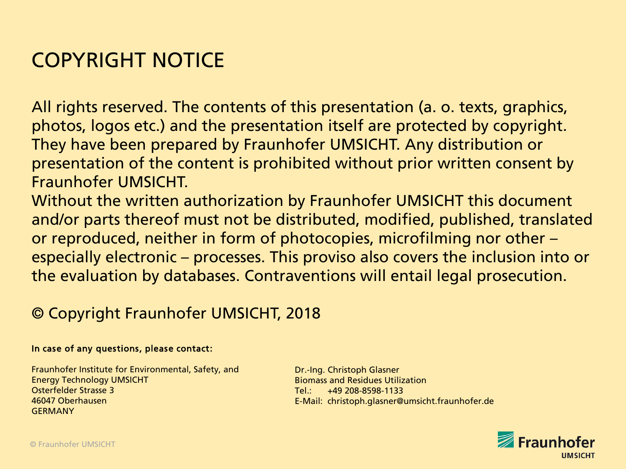#### COPYRIGHT NOTICE

All rights reserved. The contents of this presentation (a. o. texts, graphics, photos, logos etc.) and the presentation itself are protected by copyright. They have been prepared by Fraunhofer UMSICHT. Any distribution or presentation of the content is prohibited without prior written consent by Fraunhofer UMSICHT.

Without the written authorization by Fraunhofer UMSICHT this document and/or parts thereof must not be distributed, modified, published, translated or reproduced, neither in form of photocopies, microfilming nor other – especially electronic – processes. This proviso also covers the inclusion into or the evaluation by databases. Contraventions will entail legal prosecution.

#### © Copyright Fraunhofer UMSICHT, 2018

#### In case of any questions, please contact:

Fraunhofer Institute for Environmental, Safety, and Energy Technology UMSICHT Osterfelder Strasse 3 46047 Oberhausen GERMANY

Dr.-Ing. Christoph Glasner Biomass and Residues Utilization  $Tel: +49, 208 - 8598 - 1133$ E-Mail: christoph.glasner@umsicht.fraunhofer.de

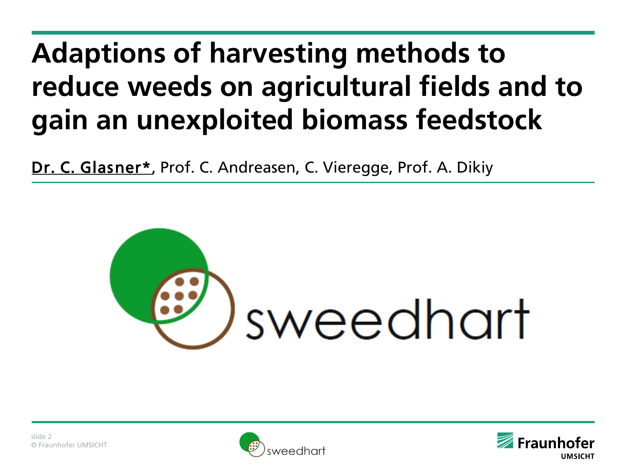# **Adaptions of harvesting methods to reduce weeds on agricultural fields and to gain an unexploited biomass feedstock**

Dr. C. Glasner\*, Prof. C. Andreasen, C. Vieregge, Prof. A. Dikiy





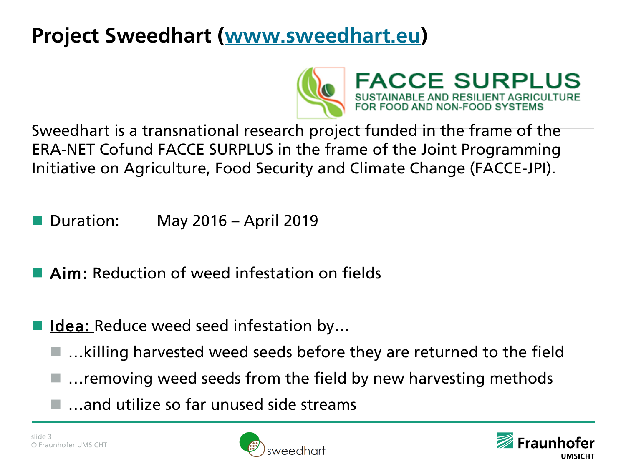

**FACCE SURPLUS** E AND RESILIENT AGRICULTURE<br>ND NON-FOOD SYSTEMS

Sweedhart is a transnational research project funded in the frame of the ERA-NET Cofund FACCE SURPLUS in the frame of the Joint Programming Initiative on Agriculture, Food Security and Climate Change (FACCE-JPI).

- Duration: May 2016 April 2019
- **Aim:** Reduction of weed infestation on fields
- **Idea:** Reduce weed seed infestation by...
	- …killing harvested weed seeds before they are returned to the field
	- $\blacksquare$  ... removing weed seeds from the field by new harvesting methods
	- $\blacksquare$  ... and utilize so far unused side streams



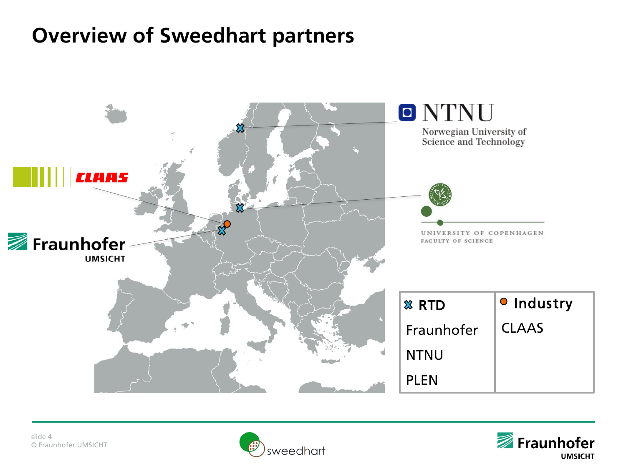#### **Overview of Sweedhart partners**





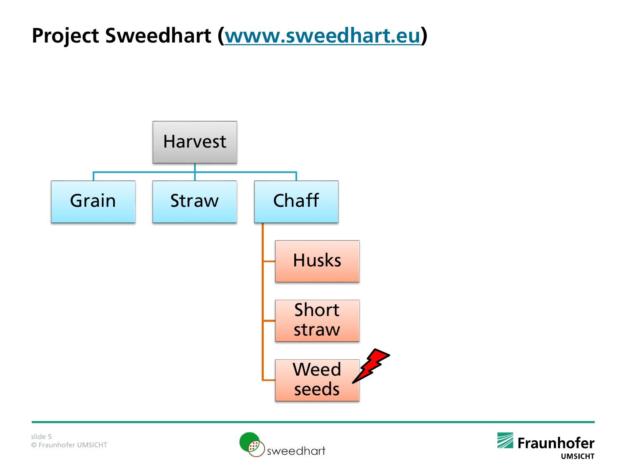



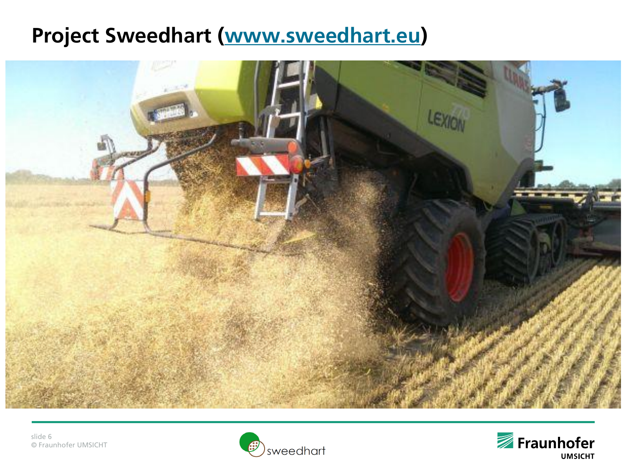



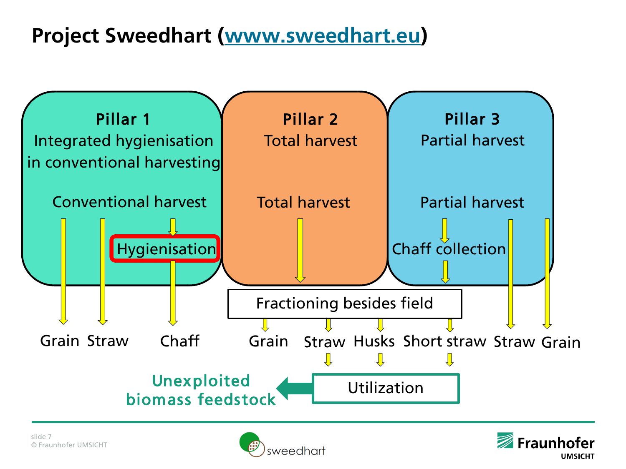



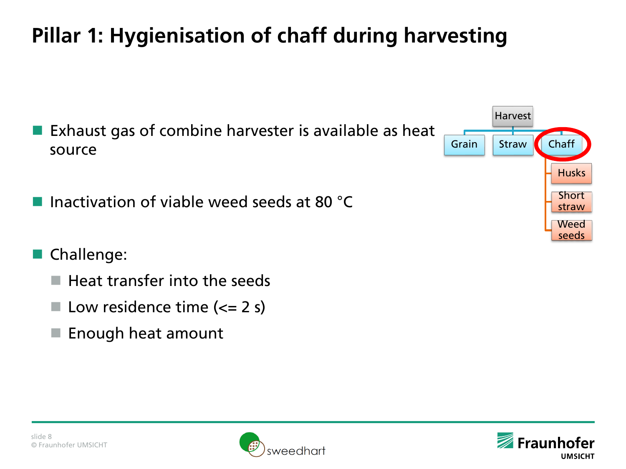# **Pillar 1: Hygienisation of chaff during harvesting**

- Exhaust gas of combine harvester is available as heat source
- **Inactivation of viable weed seeds at 80**  $^{\circ}$ **C**
- Challenge:
	- $\blacksquare$  Heat transfer into the seeds
	- $\blacksquare$  Low residence time ( $\Leftarrow$  2 s)
	- $\blacksquare$  Enough heat amount







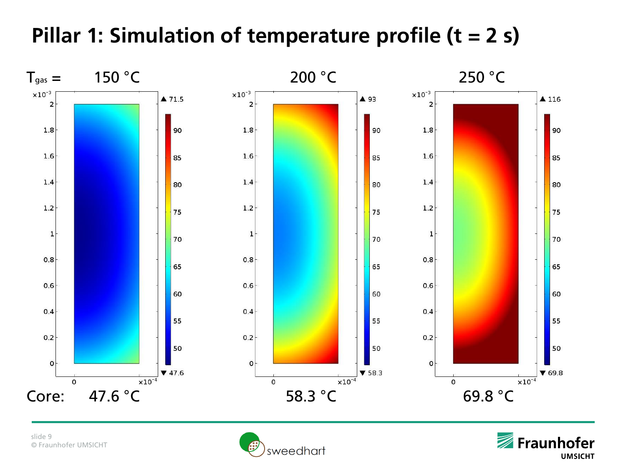## **Pillar 1: Simulation of temperature profile (t = 2 s)**



slide 9 © Fraunhofer UMSICHT



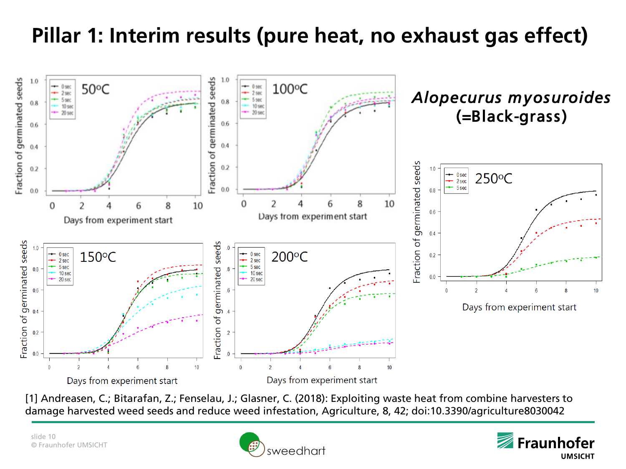## **Pillar 1: Interim results (pure heat, no exhaust gas effect)**



[1] Andreasen, C.; Bitarafan, Z.; Fenselau, J.; Glasner, C. (2018): Exploiting waste heat from combine harvesters to damage harvested weed seeds and reduce weed infestation, Agriculture, 8, 42; doi:10.3390/agriculture8030042



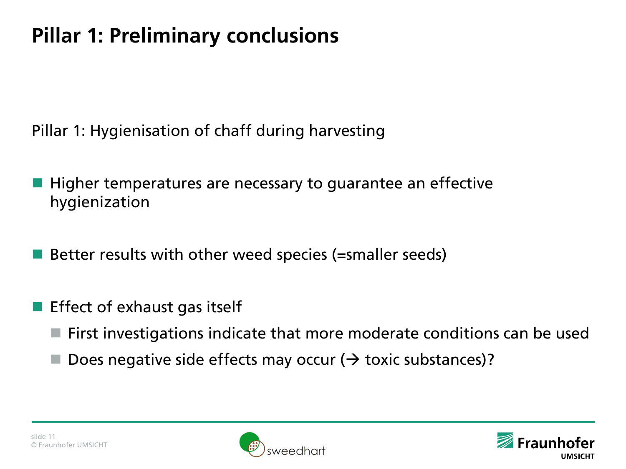# **Pillar 1: Preliminary conclusions**

Pillar 1: Hygienisation of chaff during harvesting

- Higher temperatures are necessary to guarantee an effective hygienization
- Better results with other weed species (=smaller seeds)
- Effect of exhaust gas itself
	- First investigations indicate that more moderate conditions can be used
	- Does negative side effects may occur ( $\rightarrow$  toxic substances)?



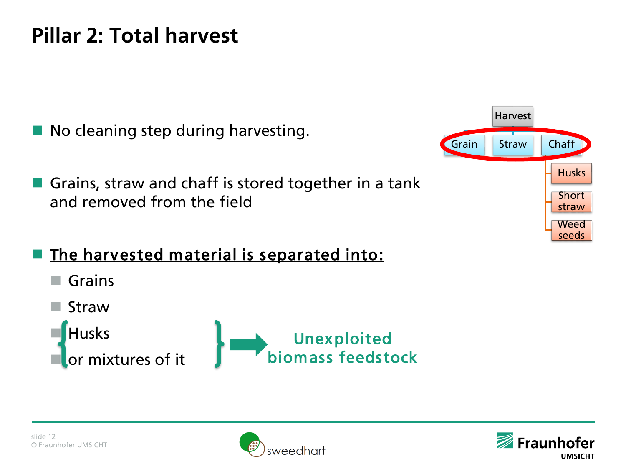### **Pillar 2: Total harvest**

- No cleaning step during harvesting.
- Grains, straw and chaff is stored together in a tank and removed from the field



- The harvested material is separated into:
	- **■** Grains
	- Straw





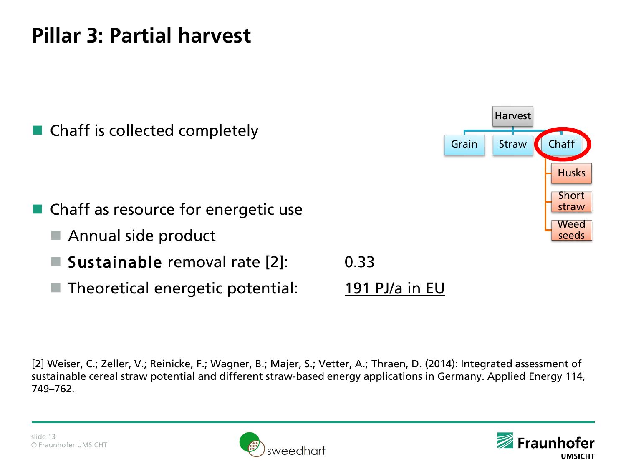## **Pillar 3: Partial harvest**



[2] Weiser, C.; Zeller, V.; Reinicke, F.; Wagner, B.; Majer, S.; Vetter, A.; Thraen, D. (2014): Integrated assessment of sustainable cereal straw potential and different straw-based energy applications in Germany. Applied Energy 114, 749–762.





Harvest

Husks

**Short** straw Weed seeds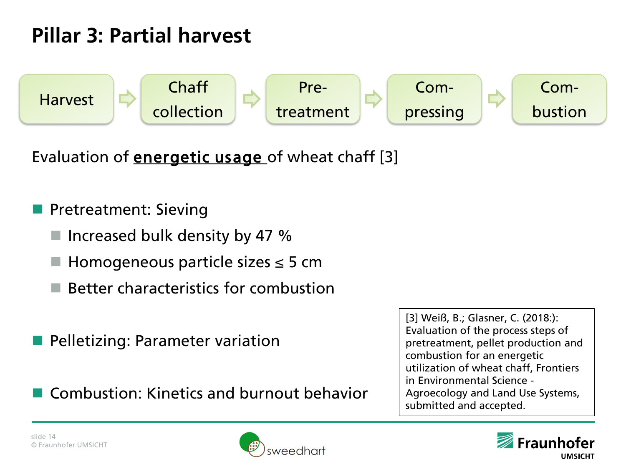### **Pillar 3: Partial harvest**



Evaluation of **energetic usage** of wheat chaff [3]

#### **Pretreatment: Sieving**

- Increased bulk density by 47 %
- Homogeneous particle sizes  $\leq$  5 cm
- Better characteristics for combustion
- Pelletizing: Parameter variation

Combustion: Kinetics and burnout behavior

[3] Weiß, B.; Glasner, C. (2018:): Evaluation of the process steps of pretreatment, pellet production and combustion for an energetic utilization of wheat chaff, Frontiers in Environmental Science - Agroecology and Land Use Systems, submitted and accepted.



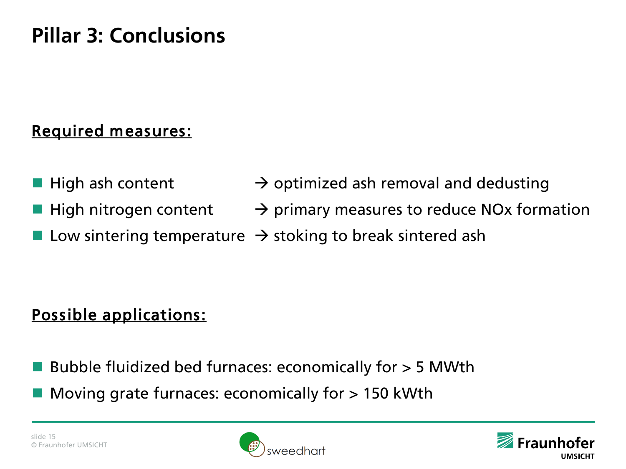## **Pillar 3: Conclusions**

#### Required measures:

- **High ash content**   $\rightarrow$  optimized ash removal and dedusting
- High nitrogen content  $\rightarrow$  primary measures to reduce NOx formation
	- Low sintering temperature  $\rightarrow$  stoking to break sintered ash

#### Possible applications:

- Bubble fluidized bed furnaces: economically for > 5 MWth
- Moving grate furnaces: economically for > 150 kWth



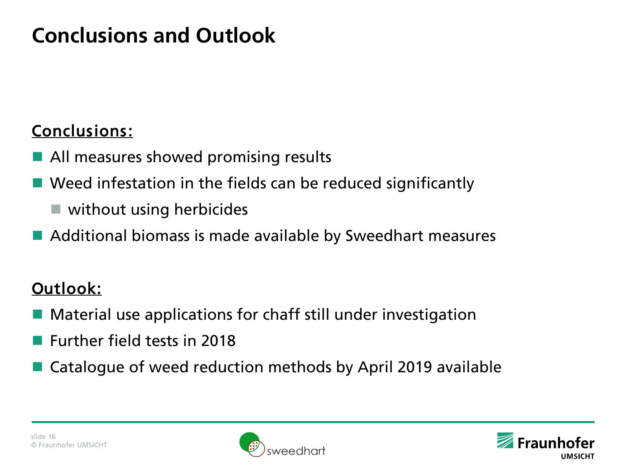## **Conclusions and Outlook**

#### Conclusions:

- All measures showed promising results
- Weed infestation in the fields can be reduced significantly
	- without using herbicides
- Additional biomass is made available by Sweedhart measures

#### Outlook:

- Material use applications for chaff still under investigation
- **Further field tests in 2018**
- Catalogue of weed reduction methods by April 2019 available